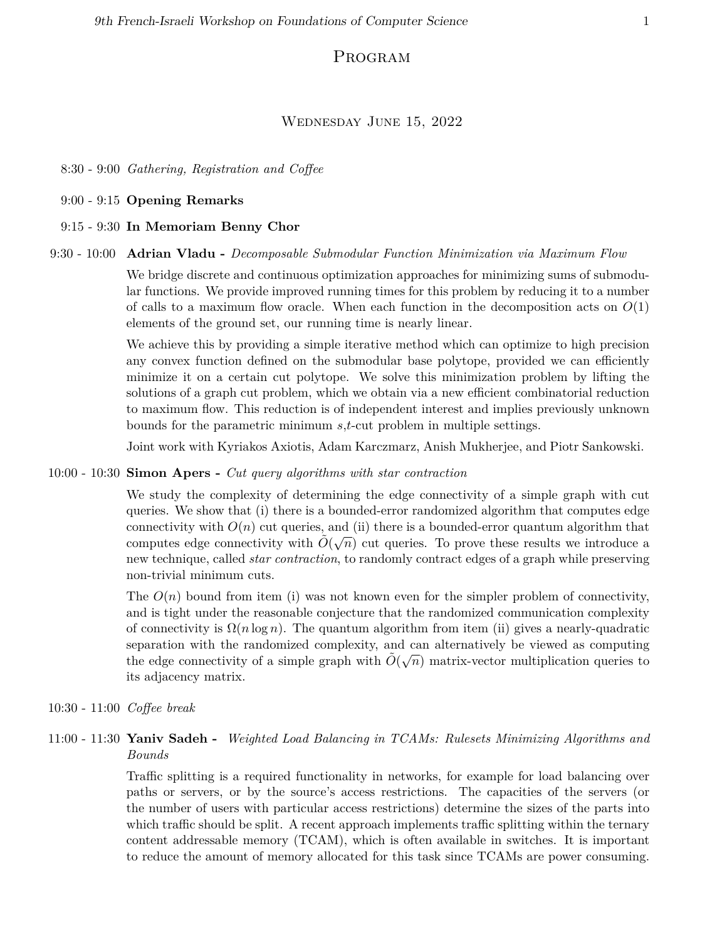# Program

### Wednesday June 15, 2022

8:30 - 9:00 *Gathering, Registration and Coffee*

9:00 - 9:15 **Opening Remarks**

9:15 - 9:30 **In Memoriam Benny Chor**

### 9:30 - 10:00 **Adrian Vladu -** *Decomposable Submodular Function Minimization via Maximum Flow*

We bridge discrete and continuous optimization approaches for minimizing sums of submodular functions. We provide improved running times for this problem by reducing it to a number of calls to a maximum flow oracle. When each function in the decomposition acts on  $O(1)$ elements of the ground set, our running time is nearly linear.

We achieve this by providing a simple iterative method which can optimize to high precision any convex function defined on the submodular base polytope, provided we can efficiently minimize it on a certain cut polytope. We solve this minimization problem by lifting the solutions of a graph cut problem, which we obtain via a new efficient combinatorial reduction to maximum flow. This reduction is of independent interest and implies previously unknown bounds for the parametric minimum *s*,*t*-cut problem in multiple settings.

Joint work with Kyriakos Axiotis, Adam Karczmarz, Anish Mukherjee, and Piotr Sankowski.

### 10:00 - 10:30 **Simon Apers -** *Cut query algorithms with star contraction*

We study the complexity of determining the edge connectivity of a simple graph with cut queries. We show that (i) there is a bounded-error randomized algorithm that computes edge connectivity with  $O(n)$  cut queries, and (ii) there is a bounded-error quantum algorithm that computes edge connectivity with  $\tilde{O}(\sqrt{n})$  cut queries. To prove these results we introduce a new technique, called *star contraction*, to randomly contract edges of a graph while preserving non-trivial minimum cuts.

The  $O(n)$  bound from item (i) was not known even for the simpler problem of connectivity, and is tight under the reasonable conjecture that the randomized communication complexity of connectivity is  $\Omega(n \log n)$ . The quantum algorithm from item (ii) gives a nearly-quadratic separation with the randomized complexity, and can alternatively be viewed as computing  $\tilde{O}(\sqrt{n})$  matrix-vector multiplication queries to the edge connectivity of a simple graph with  $\tilde{O}(\sqrt{n})$  matrix-vector multiplication queries to its adjacency matrix.

10:30 - 11:00 *Coffee break*

# 11:00 - 11:30 **Yaniv Sadeh -** *Weighted Load Balancing in TCAMs: Rulesets Minimizing Algorithms and Bounds*

Traffic splitting is a required functionality in networks, for example for load balancing over paths or servers, or by the source's access restrictions. The capacities of the servers (or the number of users with particular access restrictions) determine the sizes of the parts into which traffic should be split. A recent approach implements traffic splitting within the ternary content addressable memory (TCAM), which is often available in switches. It is important to reduce the amount of memory allocated for this task since TCAMs are power consuming.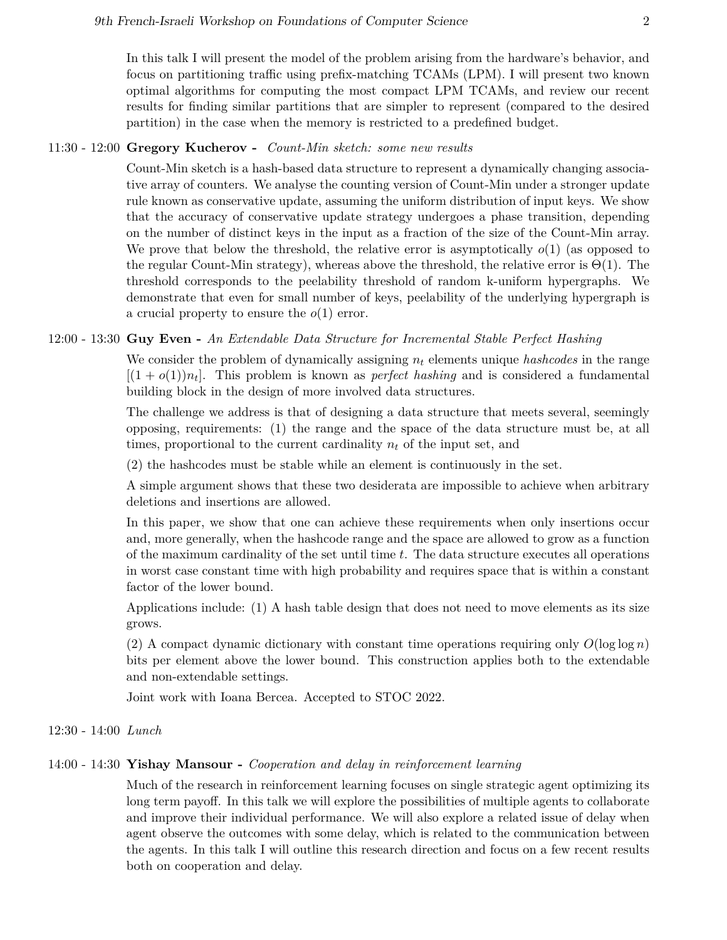# 11:30 - 12:00 **Gregory Kucherov -** *Count-Min sketch: some new results*

Count-Min sketch is a hash-based data structure to represent a dynamically changing associative array of counters. We analyse the counting version of Count-Min under a stronger update rule known as conservative update, assuming the uniform distribution of input keys. We show that the accuracy of conservative update strategy undergoes a phase transition, depending on the number of distinct keys in the input as a fraction of the size of the Count-Min array. We prove that below the threshold, the relative error is asymptotically *o*(1) (as opposed to the regular Count-Min strategy), whereas above the threshold, the relative error is  $\Theta(1)$ . The threshold corresponds to the peelability threshold of random k-uniform hypergraphs. We demonstrate that even for small number of keys, peelability of the underlying hypergraph is a crucial property to ensure the *o*(1) error.

### 12:00 - 13:30 **Guy Even -** *An Extendable Data Structure for Incremental Stable Perfect Hashing*

We consider the problem of dynamically assigning *n<sup>t</sup>* elements unique *hashcodes* in the range  $[(1 + o(1))n_t]$ . This problem is known as *perfect hashing* and is considered a fundamental building block in the design of more involved data structures.

The challenge we address is that of designing a data structure that meets several, seemingly opposing, requirements: (1) the range and the space of the data structure must be, at all times, proportional to the current cardinality *n<sup>t</sup>* of the input set, and

(2) the hashcodes must be stable while an element is continuously in the set.

A simple argument shows that these two desiderata are impossible to achieve when arbitrary deletions and insertions are allowed.

In this paper, we show that one can achieve these requirements when only insertions occur and, more generally, when the hashcode range and the space are allowed to grow as a function of the maximum cardinality of the set until time *t*. The data structure executes all operations in worst case constant time with high probability and requires space that is within a constant factor of the lower bound.

Applications include: (1) A hash table design that does not need to move elements as its size grows.

(2) A compact dynamic dictionary with constant time operations requiring only  $O(\log \log n)$ bits per element above the lower bound. This construction applies both to the extendable and non-extendable settings.

Joint work with Ioana Bercea. Accepted to STOC 2022.

## 12:30 - 14:00 *Lunch*

# 14:00 - 14:30 **Yishay Mansour -** *Cooperation and delay in reinforcement learning*

Much of the research in reinforcement learning focuses on single strategic agent optimizing its long term payoff. In this talk we will explore the possibilities of multiple agents to collaborate and improve their individual performance. We will also explore a related issue of delay when agent observe the outcomes with some delay, which is related to the communication between the agents. In this talk I will outline this research direction and focus on a few recent results both on cooperation and delay.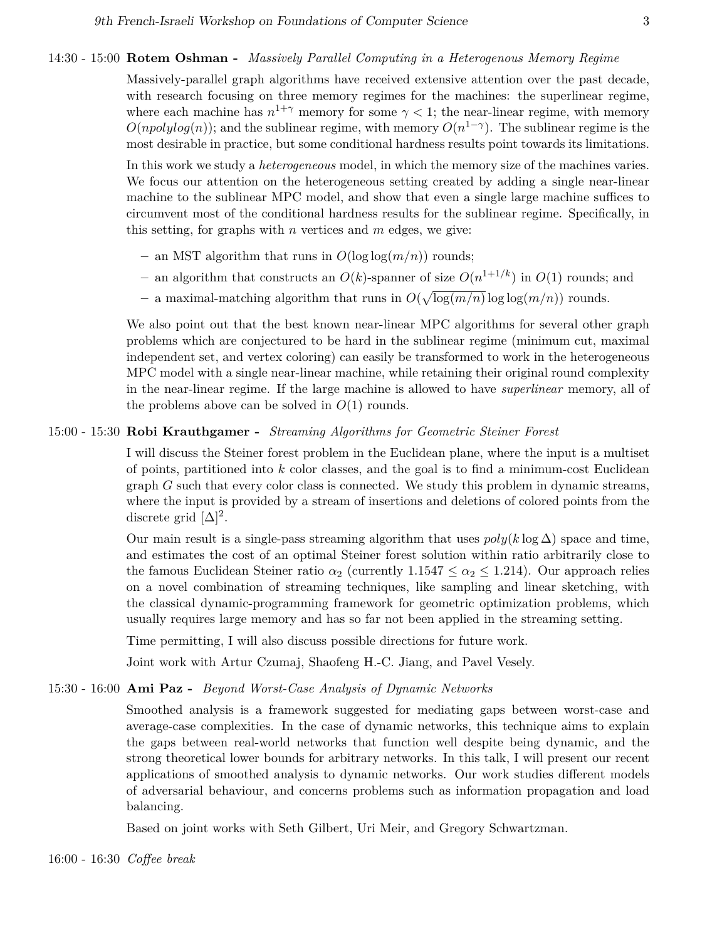#### 14:30 - 15:00 **Rotem Oshman -** *Massively Parallel Computing in a Heterogenous Memory Regime*

Massively-parallel graph algorithms have received extensive attention over the past decade, with research focusing on three memory regimes for the machines: the superlinear regime, where each machine has  $n^{1+\gamma}$  memory for some  $\gamma < 1$ ; the near-linear regime, with memory  $O(npolylog(n))$ ; and the sublinear regime, with memory  $O(n^{1-\gamma})$ . The sublinear regime is the most desirable in practice, but some conditional hardness results point towards its limitations.

In this work we study a *heterogeneous* model, in which the memory size of the machines varies. We focus our attention on the heterogeneous setting created by adding a single near-linear machine to the sublinear MPC model, and show that even a single large machine suffices to circumvent most of the conditional hardness results for the sublinear regime. Specifically, in this setting, for graphs with *n* vertices and *m* edges, we give:

- **–** an MST algorithm that runs in *O*(log log(*m/n*)) rounds;
- $-$  an algorithm that constructs an  $O(k)$ -spanner of size  $O(n^{1+1/k})$  in  $O(1)$  rounds; and
- $-$  a maximal-matching algorithm that runs in  $O(\sqrt{\log(m/n)} \log \log(m/n))$  rounds.

We also point out that the best known near-linear MPC algorithms for several other graph problems which are conjectured to be hard in the sublinear regime (minimum cut, maximal independent set, and vertex coloring) can easily be transformed to work in the heterogeneous MPC model with a single near-linear machine, while retaining their original round complexity in the near-linear regime. If the large machine is allowed to have *superlinear* memory, all of the problems above can be solved in  $O(1)$  rounds.

### 15:00 - 15:30 **Robi Krauthgamer -** *Streaming Algorithms for Geometric Steiner Forest*

I will discuss the Steiner forest problem in the Euclidean plane, where the input is a multiset of points, partitioned into *k* color classes, and the goal is to find a minimum-cost Euclidean graph *G* such that every color class is connected. We study this problem in dynamic streams, where the input is provided by a stream of insertions and deletions of colored points from the discrete grid  $[\Delta]^2$ .

Our main result is a single-pass streaming algorithm that uses  $poly(k \log \Delta)$  space and time, and estimates the cost of an optimal Steiner forest solution within ratio arbitrarily close to the famous Euclidean Steiner ratio  $\alpha_2$  (currently 1.1547  $\leq \alpha_2 \leq 1.214$ ). Our approach relies on a novel combination of streaming techniques, like sampling and linear sketching, with the classical dynamic-programming framework for geometric optimization problems, which usually requires large memory and has so far not been applied in the streaming setting.

Time permitting, I will also discuss possible directions for future work.

Joint work with Artur Czumaj, Shaofeng H.-C. Jiang, and Pavel Vesely.

# 15:30 - 16:00 **Ami Paz -** *Beyond Worst-Case Analysis of Dynamic Networks*

Smoothed analysis is a framework suggested for mediating gaps between worst-case and average-case complexities. In the case of dynamic networks, this technique aims to explain the gaps between real-world networks that function well despite being dynamic, and the strong theoretical lower bounds for arbitrary networks. In this talk, I will present our recent applications of smoothed analysis to dynamic networks. Our work studies different models of adversarial behaviour, and concerns problems such as information propagation and load balancing.

Based on joint works with Seth Gilbert, Uri Meir, and Gregory Schwartzman.

16:00 - 16:30 *Coffee break*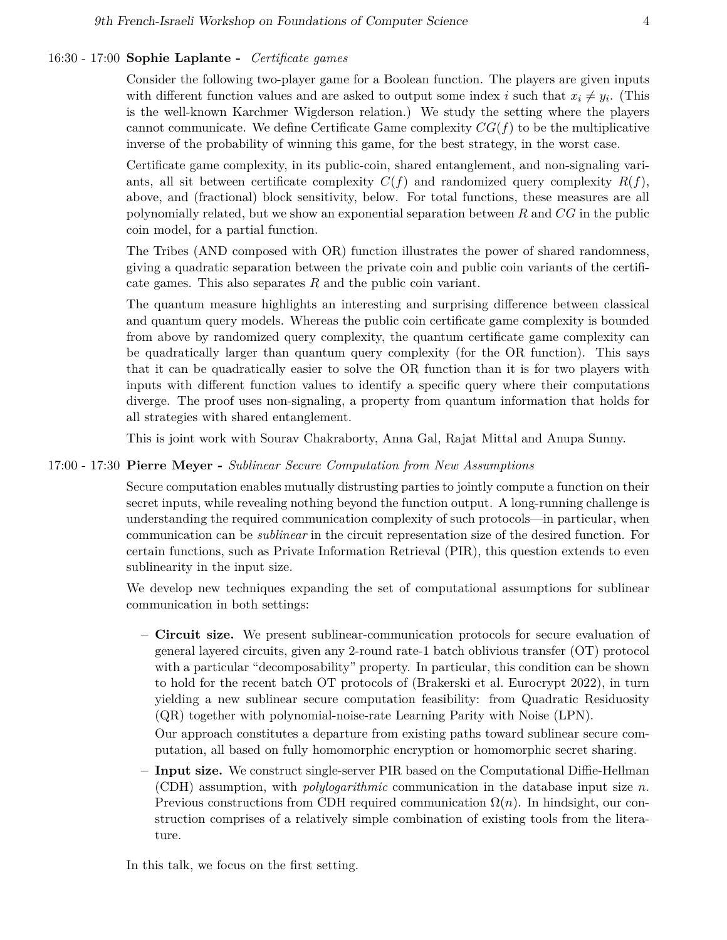# 16:30 - 17:00 **Sophie Laplante -** *Certificate games*

Consider the following two-player game for a Boolean function. The players are given inputs with different function values and are asked to output some index *i* such that  $x_i \neq y_i$ . (This is the well-known Karchmer Wigderson relation.) We study the setting where the players cannot communicate. We define Certificate Game complexity *CG*(*f*) to be the multiplicative inverse of the probability of winning this game, for the best strategy, in the worst case.

Certificate game complexity, in its public-coin, shared entanglement, and non-signaling variants, all sit between certificate complexity  $C(f)$  and randomized query complexity  $R(f)$ , above, and (fractional) block sensitivity, below. For total functions, these measures are all polynomially related, but we show an exponential separation between *R* and *CG* in the public coin model, for a partial function.

The Tribes (AND composed with OR) function illustrates the power of shared randomness, giving a quadratic separation between the private coin and public coin variants of the certificate games. This also separates *R* and the public coin variant.

The quantum measure highlights an interesting and surprising difference between classical and quantum query models. Whereas the public coin certificate game complexity is bounded from above by randomized query complexity, the quantum certificate game complexity can be quadratically larger than quantum query complexity (for the OR function). This says that it can be quadratically easier to solve the OR function than it is for two players with inputs with different function values to identify a specific query where their computations diverge. The proof uses non-signaling, a property from quantum information that holds for all strategies with shared entanglement.

This is joint work with Sourav Chakraborty, Anna Gal, Rajat Mittal and Anupa Sunny.

## 17:00 - 17:30 **Pierre Meyer -** *Sublinear Secure Computation from New Assumptions*

Secure computation enables mutually distrusting parties to jointly compute a function on their secret inputs, while revealing nothing beyond the function output. A long-running challenge is understanding the required communication complexity of such protocols—in particular, when communication can be *sublinear* in the circuit representation size of the desired function. For certain functions, such as Private Information Retrieval (PIR), this question extends to even sublinearity in the input size.

We develop new techniques expanding the set of computational assumptions for sublinear communication in both settings:

**– Circuit size.** We present sublinear-communication protocols for secure evaluation of general layered circuits, given any 2-round rate-1 batch oblivious transfer (OT) protocol with a particular "decomposability" property. In particular, this condition can be shown to hold for the recent batch OT protocols of (Brakerski et al. Eurocrypt 2022), in turn yielding a new sublinear secure computation feasibility: from Quadratic Residuosity (QR) together with polynomial-noise-rate Learning Parity with Noise (LPN).

Our approach constitutes a departure from existing paths toward sublinear secure computation, all based on fully homomorphic encryption or homomorphic secret sharing.

**– Input size.** We construct single-server PIR based on the Computational Diffie-Hellman (CDH) assumption, with *polylogarithmic* communication in the database input size *n*. Previous constructions from CDH required communication  $\Omega(n)$ . In hindsight, our construction comprises of a relatively simple combination of existing tools from the literature.

In this talk, we focus on the first setting.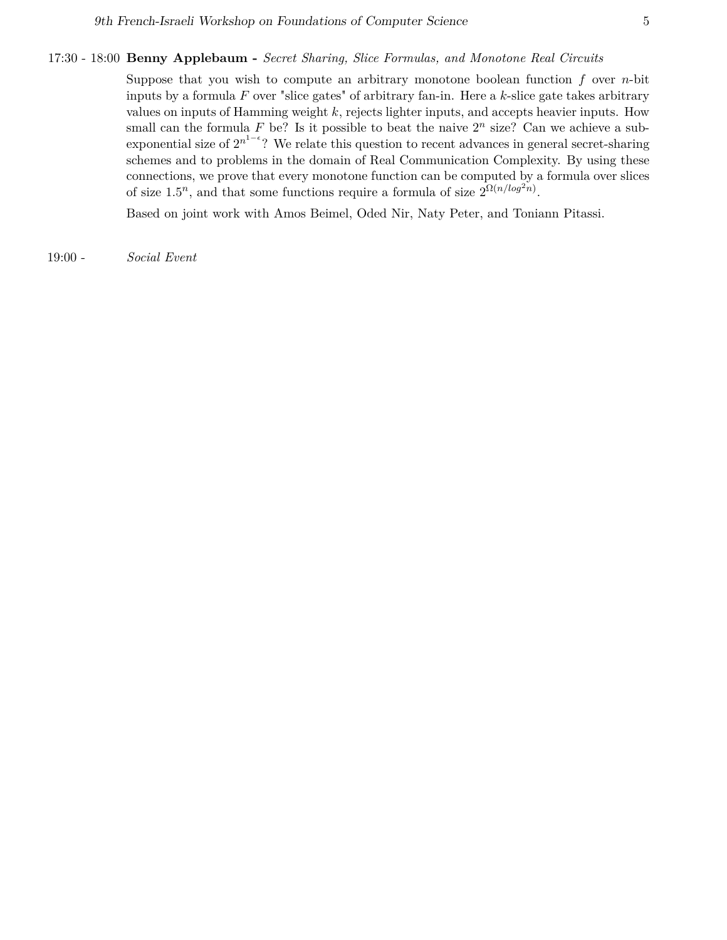## 17:30 - 18:00 **Benny Applebaum -** *Secret Sharing, Slice Formulas, and Monotone Real Circuits*

Suppose that you wish to compute an arbitrary monotone boolean function *f* over *n*-bit inputs by a formula *F* over "slice gates" of arbitrary fan-in. Here a *k*-slice gate takes arbitrary values on inputs of Hamming weight *k*, rejects lighter inputs, and accepts heavier inputs. How small can the formula  $F$  be? Is it possible to beat the naive  $2^n$  size? Can we achieve a subexponential size of  $2^{n^{1-\epsilon}}$ ? We relate this question to recent advances in general secret-sharing schemes and to problems in the domain of Real Communication Complexity. By using these connections, we prove that every monotone function can be computed by a formula over slices of size  $1.5^n$ , and that some functions require a formula of size  $2^{\Omega(n/log^2n)}$ .

Based on joint work with Amos Beimel, Oded Nir, Naty Peter, and Toniann Pitassi.

19:00 - *Social Event*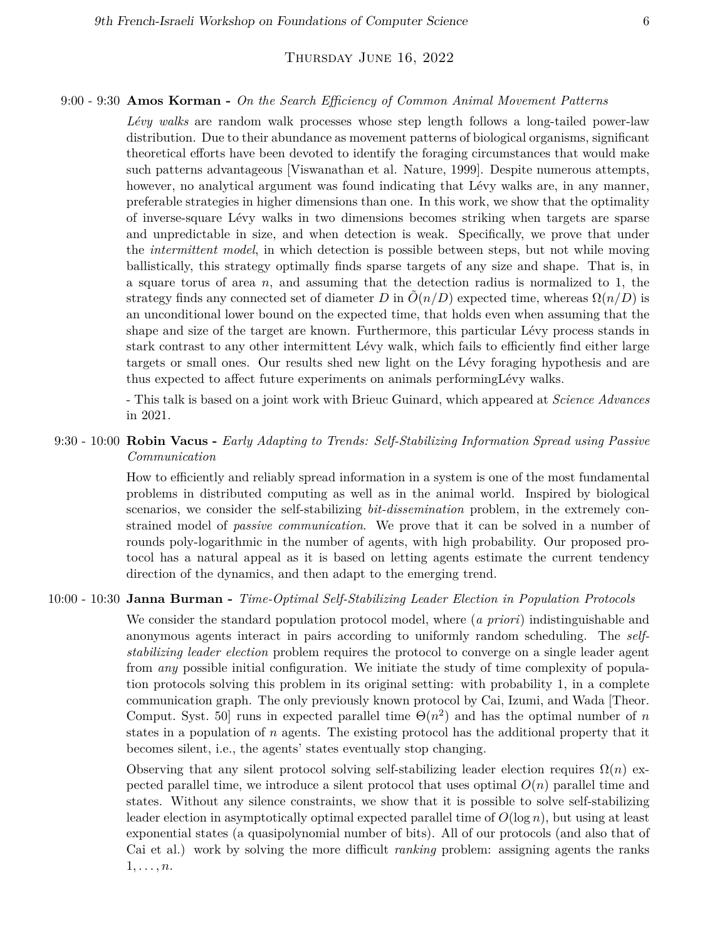# THURSDAY JUNE 16, 2022

### 9:00 - 9:30 **Amos Korman -** *On the Search Efficiency of Common Animal Movement Patterns*

*Lévy walks* are random walk processes whose step length follows a long-tailed power-law distribution. Due to their abundance as movement patterns of biological organisms, significant theoretical efforts have been devoted to identify the foraging circumstances that would make such patterns advantageous [Viswanathan et al. Nature, 1999]. Despite numerous attempts, however, no analytical argument was found indicating that Lévy walks are, in any manner, preferable strategies in higher dimensions than one. In this work, we show that the optimality of inverse-square Lévy walks in two dimensions becomes striking when targets are sparse and unpredictable in size, and when detection is weak. Specifically, we prove that under the *intermittent model*, in which detection is possible between steps, but not while moving ballistically, this strategy optimally finds sparse targets of any size and shape. That is, in a square torus of area *n*, and assuming that the detection radius is normalized to 1, the strategy finds any connected set of diameter *D* in  $O(n/D)$  expected time, whereas  $\Omega(n/D)$  is an unconditional lower bound on the expected time, that holds even when assuming that the shape and size of the target are known. Furthermore, this particular Lévy process stands in stark contrast to any other intermittent Lévy walk, which fails to efficiently find either large targets or small ones. Our results shed new light on the Lévy foraging hypothesis and are thus expected to affect future experiments on animals performingLévy walks.

- This talk is based on a joint work with Brieuc Guinard, which appeared at *Science Advances* in 2021.

# 9:30 - 10:00 **Robin Vacus -** *Early Adapting to Trends: Self-Stabilizing Information Spread using Passive Communication*

How to efficiently and reliably spread information in a system is one of the most fundamental problems in distributed computing as well as in the animal world. Inspired by biological scenarios, we consider the self-stabilizing *bit-dissemination* problem, in the extremely constrained model of *passive communication*. We prove that it can be solved in a number of rounds poly-logarithmic in the number of agents, with high probability. Our proposed protocol has a natural appeal as it is based on letting agents estimate the current tendency direction of the dynamics, and then adapt to the emerging trend.

## 10:00 - 10:30 **Janna Burman -** *Time-Optimal Self-Stabilizing Leader Election in Population Protocols*

We consider the standard population protocol model, where (*a priori*) indistinguishable and anonymous agents interact in pairs according to uniformly random scheduling. The *selfstabilizing leader election* problem requires the protocol to converge on a single leader agent from *any* possible initial configuration. We initiate the study of time complexity of population protocols solving this problem in its original setting: with probability 1, in a complete communication graph. The only previously known protocol by Cai, Izumi, and Wada [Theor. Comput. Syst. 50 runs in expected parallel time  $\Theta(n^2)$  and has the optimal number of *n* states in a population of *n* agents. The existing protocol has the additional property that it becomes silent, i.e., the agents' states eventually stop changing.

Observing that any silent protocol solving self-stabilizing leader election requires  $\Omega(n)$  expected parallel time, we introduce a silent protocol that uses optimal  $O(n)$  parallel time and states. Without any silence constraints, we show that it is possible to solve self-stabilizing leader election in asymptotically optimal expected parallel time of *O*(log *n*), but using at least exponential states (a quasipolynomial number of bits). All of our protocols (and also that of Cai et al.) work by solving the more difficult *ranking* problem: assigning agents the ranks 1*, . . . , n*.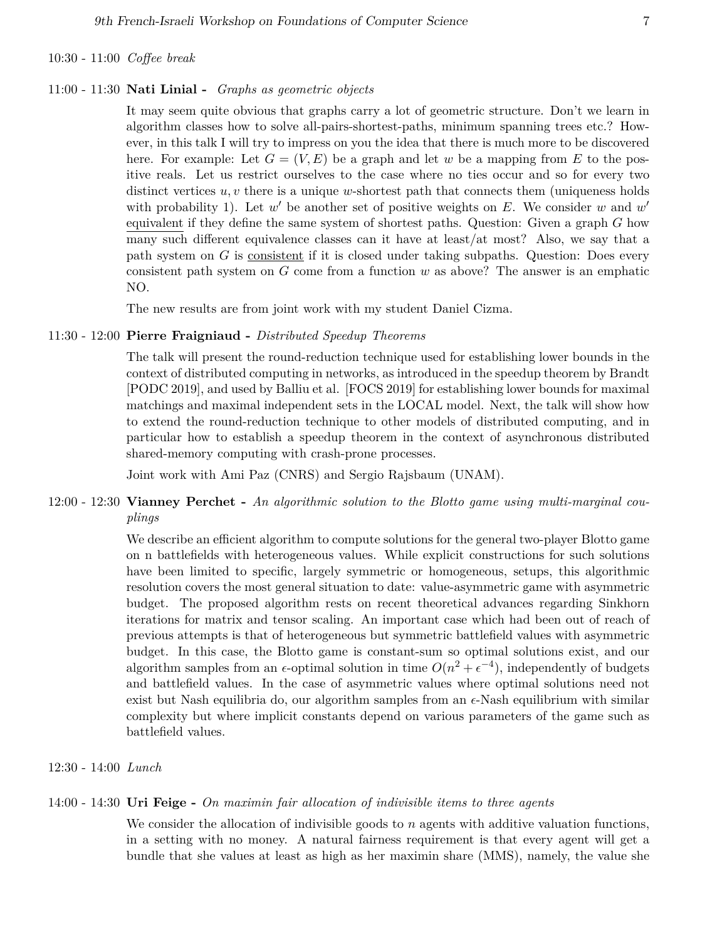### 10:30 - 11:00 *Coffee break*

#### 11:00 - 11:30 **Nati Linial -** *Graphs as geometric objects*

It may seem quite obvious that graphs carry a lot of geometric structure. Don't we learn in algorithm classes how to solve all-pairs-shortest-paths, minimum spanning trees etc.? However, in this talk I will try to impress on you the idea that there is much more to be discovered here. For example: Let  $G = (V, E)$  be a graph and let w be a mapping from E to the positive reals. Let us restrict ourselves to the case where no ties occur and so for every two distinct vertices *u, v* there is a unique *w*-shortest path that connects them (uniqueness holds with probability 1). Let  $w'$  be another set of positive weights on  $E$ . We consider  $w$  and  $w'$ equivalent if they define the same system of shortest paths. Question: Given a graph *G* how many such different equivalence classes can it have at least/at most? Also, we say that a path system on *G* is consistent if it is closed under taking subpaths. Question: Does every consistent path system on *G* come from a function *w* as above? The answer is an emphatic NO.

The new results are from joint work with my student Daniel Cizma.

# 11:30 - 12:00 **Pierre Fraigniaud -** *Distributed Speedup Theorems*

The talk will present the round-reduction technique used for establishing lower bounds in the context of distributed computing in networks, as introduced in the speedup theorem by Brandt [PODC 2019], and used by Balliu et al. [FOCS 2019] for establishing lower bounds for maximal matchings and maximal independent sets in the LOCAL model. Next, the talk will show how to extend the round-reduction technique to other models of distributed computing, and in particular how to establish a speedup theorem in the context of asynchronous distributed shared-memory computing with crash-prone processes.

Joint work with Ami Paz (CNRS) and Sergio Rajsbaum (UNAM).

# 12:00 - 12:30 **Vianney Perchet -** *An algorithmic solution to the Blotto game using multi-marginal couplings*

We describe an efficient algorithm to compute solutions for the general two-player Blotto game on n battlefields with heterogeneous values. While explicit constructions for such solutions have been limited to specific, largely symmetric or homogeneous, setups, this algorithmic resolution covers the most general situation to date: value-asymmetric game with asymmetric budget. The proposed algorithm rests on recent theoretical advances regarding Sinkhorn iterations for matrix and tensor scaling. An important case which had been out of reach of previous attempts is that of heterogeneous but symmetric battlefield values with asymmetric budget. In this case, the Blotto game is constant-sum so optimal solutions exist, and our algorithm samples from an  $\epsilon$ -optimal solution in time  $O(n^2 + \epsilon^{-4})$ , independently of budgets and battlefield values. In the case of asymmetric values where optimal solutions need not exist but Nash equilibria do, our algorithm samples from an  $\epsilon$ -Nash equilibrium with similar complexity but where implicit constants depend on various parameters of the game such as battlefield values.

#### 12:30 - 14:00 *Lunch*

### 14:00 - 14:30 **Uri Feige -** *On maximin fair allocation of indivisible items to three agents*

We consider the allocation of indivisible goods to *n* agents with additive valuation functions, in a setting with no money. A natural fairness requirement is that every agent will get a bundle that she values at least as high as her maximin share (MMS), namely, the value she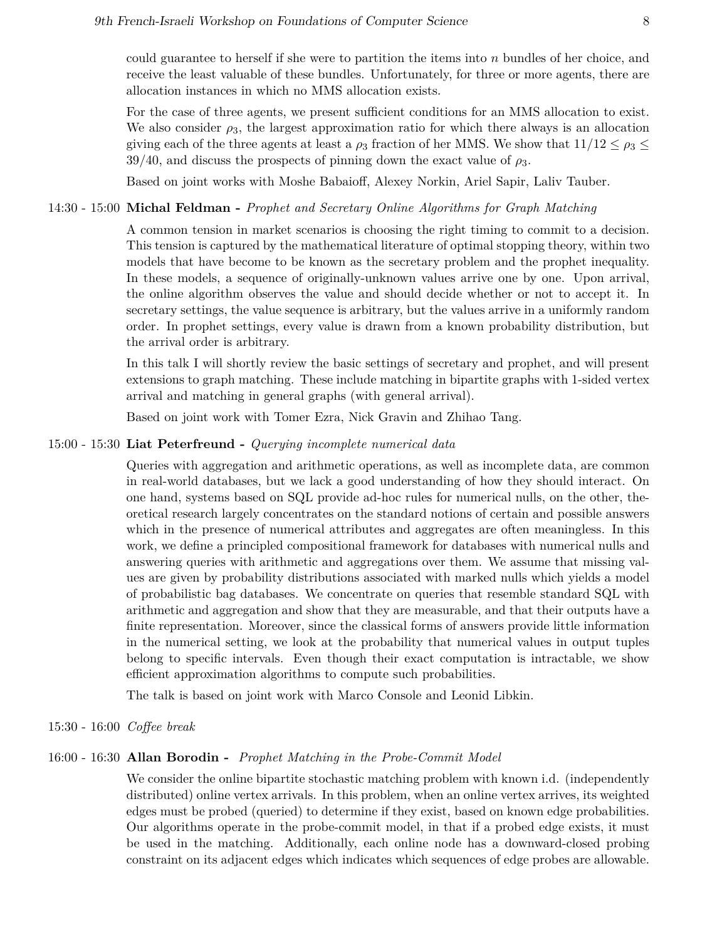could guarantee to herself if she were to partition the items into *n* bundles of her choice, and receive the least valuable of these bundles. Unfortunately, for three or more agents, there are allocation instances in which no MMS allocation exists.

For the case of three agents, we present sufficient conditions for an MMS allocation to exist. We also consider  $\rho_3$ , the largest approximation ratio for which there always is an allocation giving each of the three agents at least a  $\rho_3$  fraction of her MMS. We show that  $11/12 \leq \rho_3 \leq$  $39/40$ , and discuss the prospects of pinning down the exact value of  $\rho_3$ .

Based on joint works with Moshe Babaioff, Alexey Norkin, Ariel Sapir, Laliv Tauber.

### 14:30 - 15:00 **Michal Feldman -** *Prophet and Secretary Online Algorithms for Graph Matching*

A common tension in market scenarios is choosing the right timing to commit to a decision. This tension is captured by the mathematical literature of optimal stopping theory, within two models that have become to be known as the secretary problem and the prophet inequality. In these models, a sequence of originally-unknown values arrive one by one. Upon arrival, the online algorithm observes the value and should decide whether or not to accept it. In secretary settings, the value sequence is arbitrary, but the values arrive in a uniformly random order. In prophet settings, every value is drawn from a known probability distribution, but the arrival order is arbitrary.

In this talk I will shortly review the basic settings of secretary and prophet, and will present extensions to graph matching. These include matching in bipartite graphs with 1-sided vertex arrival and matching in general graphs (with general arrival).

Based on joint work with Tomer Ezra, Nick Gravin and Zhihao Tang.

### 15:00 - 15:30 **Liat Peterfreund -** *Querying incomplete numerical data*

Queries with aggregation and arithmetic operations, as well as incomplete data, are common in real-world databases, but we lack a good understanding of how they should interact. On one hand, systems based on SQL provide ad-hoc rules for numerical nulls, on the other, theoretical research largely concentrates on the standard notions of certain and possible answers which in the presence of numerical attributes and aggregates are often meaningless. In this work, we define a principled compositional framework for databases with numerical nulls and answering queries with arithmetic and aggregations over them. We assume that missing values are given by probability distributions associated with marked nulls which yields a model of probabilistic bag databases. We concentrate on queries that resemble standard SQL with arithmetic and aggregation and show that they are measurable, and that their outputs have a finite representation. Moreover, since the classical forms of answers provide little information in the numerical setting, we look at the probability that numerical values in output tuples belong to specific intervals. Even though their exact computation is intractable, we show efficient approximation algorithms to compute such probabilities.

The talk is based on joint work with Marco Console and Leonid Libkin.

### 15:30 - 16:00 *Coffee break*

### 16:00 - 16:30 **Allan Borodin -** *Prophet Matching in the Probe-Commit Model*

We consider the online bipartite stochastic matching problem with known i.d. (independently distributed) online vertex arrivals. In this problem, when an online vertex arrives, its weighted edges must be probed (queried) to determine if they exist, based on known edge probabilities. Our algorithms operate in the probe-commit model, in that if a probed edge exists, it must be used in the matching. Additionally, each online node has a downward-closed probing constraint on its adjacent edges which indicates which sequences of edge probes are allowable.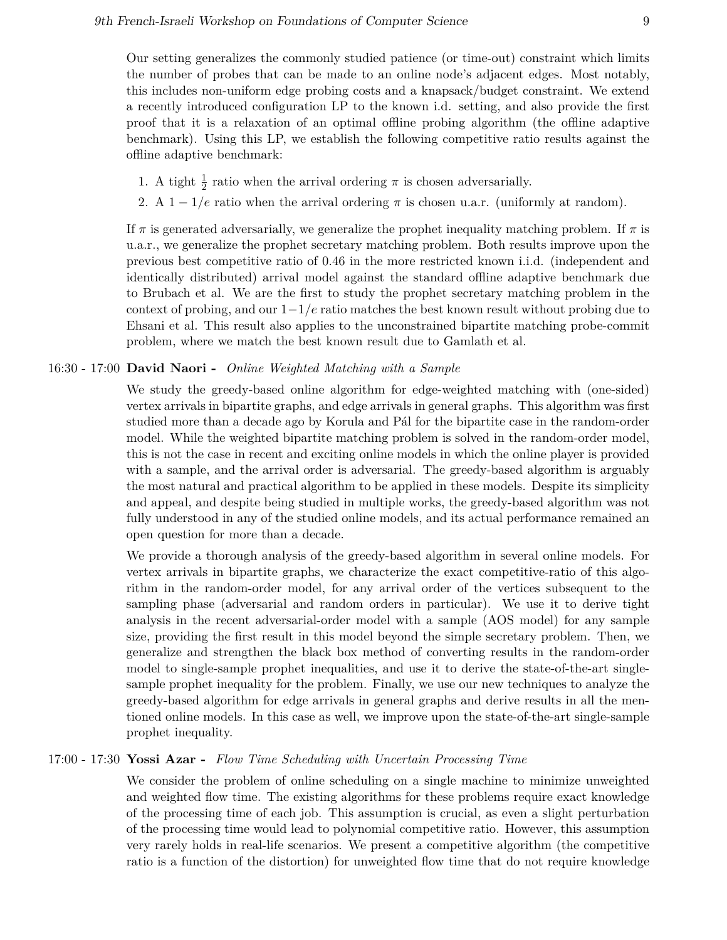Our setting generalizes the commonly studied patience (or time-out) constraint which limits the number of probes that can be made to an online node's adjacent edges. Most notably, this includes non-uniform edge probing costs and a knapsack/budget constraint. We extend a recently introduced configuration LP to the known i.d. setting, and also provide the first proof that it is a relaxation of an optimal offline probing algorithm (the offline adaptive benchmark). Using this LP, we establish the following competitive ratio results against the offline adaptive benchmark:

- 1. A tight  $\frac{1}{2}$  ratio when the arrival ordering  $\pi$  is chosen adversarially.
- 2. A  $1 1/e$  ratio when the arrival ordering  $\pi$  is chosen u.a.r. (uniformly at random).

If  $\pi$  is generated adversarially, we generalize the prophet inequality matching problem. If  $\pi$  is u.a.r., we generalize the prophet secretary matching problem. Both results improve upon the previous best competitive ratio of 0*.*46 in the more restricted known i.i.d. (independent and identically distributed) arrival model against the standard offline adaptive benchmark due to Brubach et al. We are the first to study the prophet secretary matching problem in the context of probing, and our 1−1*/e* ratio matches the best known result without probing due to Ehsani et al. This result also applies to the unconstrained bipartite matching probe-commit problem, where we match the best known result due to Gamlath et al.

# 16:30 - 17:00 **David Naori -** *Online Weighted Matching with a Sample*

We study the greedy-based online algorithm for edge-weighted matching with (one-sided) vertex arrivals in bipartite graphs, and edge arrivals in general graphs. This algorithm was first studied more than a decade ago by Korula and Pál for the bipartite case in the random-order model. While the weighted bipartite matching problem is solved in the random-order model, this is not the case in recent and exciting online models in which the online player is provided with a sample, and the arrival order is adversarial. The greedy-based algorithm is arguably the most natural and practical algorithm to be applied in these models. Despite its simplicity and appeal, and despite being studied in multiple works, the greedy-based algorithm was not fully understood in any of the studied online models, and its actual performance remained an open question for more than a decade.

We provide a thorough analysis of the greedy-based algorithm in several online models. For vertex arrivals in bipartite graphs, we characterize the exact competitive-ratio of this algorithm in the random-order model, for any arrival order of the vertices subsequent to the sampling phase (adversarial and random orders in particular). We use it to derive tight analysis in the recent adversarial-order model with a sample (AOS model) for any sample size, providing the first result in this model beyond the simple secretary problem. Then, we generalize and strengthen the black box method of converting results in the random-order model to single-sample prophet inequalities, and use it to derive the state-of-the-art singlesample prophet inequality for the problem. Finally, we use our new techniques to analyze the greedy-based algorithm for edge arrivals in general graphs and derive results in all the mentioned online models. In this case as well, we improve upon the state-of-the-art single-sample prophet inequality.

### 17:00 - 17:30 **Yossi Azar -** *Flow Time Scheduling with Uncertain Processing Time*

We consider the problem of online scheduling on a single machine to minimize unweighted and weighted flow time. The existing algorithms for these problems require exact knowledge of the processing time of each job. This assumption is crucial, as even a slight perturbation of the processing time would lead to polynomial competitive ratio. However, this assumption very rarely holds in real-life scenarios. We present a competitive algorithm (the competitive ratio is a function of the distortion) for unweighted flow time that do not require knowledge